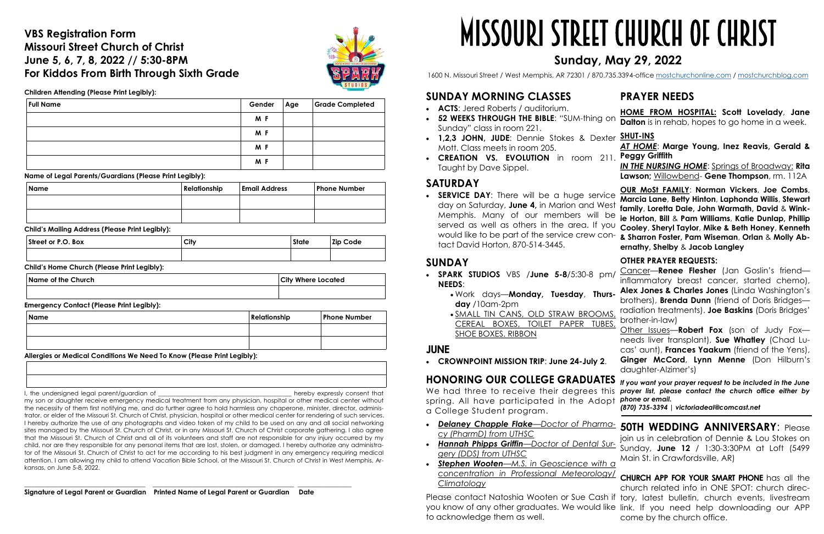# **VBS Registration Form Missouri Street Church of Christ June 5, 6, 7, 8, 2022 // 5:30-8PM For Kiddos From Birth Through Sixth Grade**



### **Children Attending (Please Print Legibly):**

**Name of Legal Parents/Guardians (Please Print Legibly):**

#### **Child's Mailing Address (Please Print Legibly):**

**Child's Home Church (Please Print Legibly):**

#### **Emergency Contact (Please Print Legibly):**

### **Allergies or Medical Conditions We Need To Know (Please Print Legibly):**

I, the undersigned legal parent/guardian of \_\_\_\_\_\_\_\_\_\_\_\_\_\_\_\_\_\_\_\_\_\_\_\_\_\_\_\_\_\_\_\_\_\_\_\_\_\_\_\_\_\_\_\_ hereby expressly consent that

my son or daughter receive emergency medical treatment from any physician, hospital or other medical center without the necessity of them first notifying me, and do further agree to hold harmless any chaperone, minister, director, administrator, or elder of the Missouri St. Church of Christ, physician, hospital or other medical center for rendering of such services. I hereby authorize the use of any photographs and video taken of my child to be used on any and all social networking sites managed by the Missouri St. Church of Christ, or in any Missouri St. Church of Christ corporate gathering. I also agree that the Missouri St. Church of Christ and all of its volunteers and staff are not responsible for any injury occurred by my child, nor are they responsible for any personal items that are lost, stolen, or damaged. I hereby authorize any administrator of the Missouri St. Church of Christ to act for me according to his best judgment in any emergency requiring medical attention. I am allowing my child to attend Vacation Bible School, at the Missouri St. Church of Christ in West Memphis, Arkansas, on June 5-8, 2022.

\_\_\_\_\_\_\_\_\_\_\_\_\_\_\_\_\_\_\_\_\_\_\_\_\_\_\_\_\_\_\_\_\_\_\_\_ \_\_\_\_\_\_\_\_\_\_\_\_\_\_\_\_\_\_\_\_\_\_\_\_\_\_\_\_\_\_\_\_\_\_\_\_\_\_\_\_\_\_ \_\_\_\_\_\_\_\_\_\_\_\_\_\_\_\_ **Signature of Legal Parent or Guardian Printed Name of Legal Parent or Guardian Date**

| <b>Full Name</b> | Gender | Age | <b>Grade Completed</b> |
|------------------|--------|-----|------------------------|
|                  | M F    |     |                        |
|                  | M F    |     |                        |
|                  | M F    |     |                        |
|                  | M F    |     |                        |

| l Name | Relationship<br><b>Email Address</b> |  | Phone Number |
|--------|--------------------------------------|--|--------------|
|        |                                      |  |              |
|        |                                      |  |              |

| Street or P.O. Box | City | <b>State</b> | Zip Code |
|--------------------|------|--------------|----------|
|                    |      |              |          |

**Name of the Church City Where Located**

| <b>Name</b> | <b>Relationship</b> | <b>Phone Number</b> |
|-------------|---------------------|---------------------|
|             |                     |                     |
|             |                     |                     |

# **SUNDAY MORNING CLASSES**

- We had three to receive their degrees this prayer list, please contact the church office either by HONORING OUR COLLEGE GRADUATES **If you want your prayer request to be included in the June** *phone or email.* 
	- *(870) 735-3394 | victoriadeal@comcast.net*

## **SATURDAY**

# **SUNDAY**

**JUNE CROWNPOINT MISSION TRIP**: **June 24-July 2**.

- **ACTS**: Jered Roberts / auditorium.
- **52 WEEKS THROUGH THE BIBLE: "SUM-thing only and the SIBLE: "SUM-thing"** Sunday" class in room 221.
- **1,2,3 JOHN, JUDE**: Dennie Stokes & Dexter **SHUT-INS** Mott. Class meets in room 205.
- **CREATION VS. EVOLUTION** in room 211. **Peggy Griffith**  Taught by Dave Sippel. *IN THE NURSING HOME*: Springs of Broadway: **Rita Lawson;** Willowbend- **Gene Thompson**, rm. 112A

spring. All have participated in the Adopt a College Student program.

 **SERVICE DAY**: There will be a huge service day on Saturday, **June 4,** in Marion and West Memphis. Many of our members will be served as well as others in the area. If you would like to be part of the service crew contact David Horton, 870-514-3445. **Marcia Lane**, **Betty Hinton**, **Laphonda Willis**, **Stewart family**, **Loretta Dale, John Warmath, David** & **Winkie Horton, Bill** & **Pam Williams**, **Katie Dunlap, Phillip Cooley**, **Sheryl Taylor**, **Mike & Beth Honey**, **Kenneth & Sharron Foster, Pam Wiseman**, **Orlan** & **Molly Abernathy, Shelby** & **Jacob Langley**

to acknowledge them as well.

# **PRAYER NEEDS**

|  |                                                           |  |  |  | HOME FROM HOSPITAL: Scott Lovelady, Jane |  |
|--|-----------------------------------------------------------|--|--|--|------------------------------------------|--|
|  | on <b>Dalton</b> is in rehab, hopes to go home in a week. |  |  |  |                                          |  |

*AT HOME*: **Marge Young, Inez Reavis, Gerald &** 

- **SPARK STUDIOS** VBS /**June 5-8**/5:30-8 pm/ **NEEDS**: Cancer—**Renee Flesher** (Jan Goslin's friend inflammatory breast cancer, started chemo),
	- Work days—**Monday, Tuesday**, **Thursday** /10am-2pm **Alex Jones & Charles Jones** (Linda Washington's brothers), **Brenda Dunn** (friend of Doris Bridges radiation treatments). **Joe Baskins** (Doris Bridges'
	- SMALL TIN CANS, OLD STRAW BROOMS, CEREAL BOXES, TOILET PAPER TUBES, SHOE BOXES. RIBBON brother-in-law) Other Issues—**Robert Fox** (son of Judy Fox needs liver transplant), **Sue Whatley** (Chad Lucas' aunt), **Frances Yaakum** (friend of the Yens), **Ginger McCord**, **Lynn Menne** (Don Hilburn's daughter-Alzimer's)

**OUR MoSt FAMILY**: **Norman Vickers**, **Joe Combs**,

### **OTHER PRAYER REQUESTS:**

- *Delaney Chapple Flake—Doctor of Pharmacy (PharmD) from UTHSC Hannah Phipps Griffin—Doctor of Dental Surgery (DDS) from UTHSC* **50TH WEDDING ANNIVERSARY: Please** join us in celebration of Dennie & Lou Stokes on Sunday, **June 12** / 1:30-3:30PM at Loft (5499 Main St. in Crawfordsville, AR)
- 
- *Stephen Wooten—M.S. in Geoscience with a concentration in Professional Meteorology/ Climatology* Please contact Natoshia Wooten or Sue Cash if tory, latest bulletin, church events, livestream you know of any other graduates. We would like link. If you need help downloading our APP **CHURCH APP FOR YOUR SMART PHONE** has all the church related info in ONE SPOT: church direccome by the church office.

# Missouri Street Church of Christ **Sunday, May 29, 2022**

1600 N. Missouri Street / West Memphis, AR 72301 / 870.735.3394-office [mostchurchonline.com](https://www.mostchurchonline.com/) / [mostchurchblog.com](https://mostchurchblog.com/)